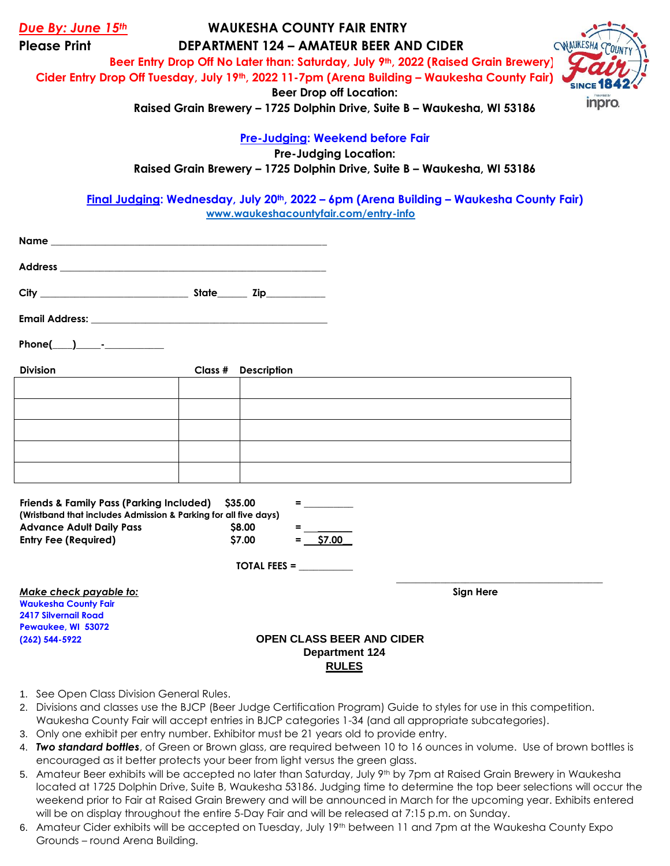| Due By: June 15th                   | <b>WAUKESHA COUNTY FAIR ENTRY</b>     |                                                                                              |           |
|-------------------------------------|---------------------------------------|----------------------------------------------------------------------------------------------|-----------|
| <b>Please Print</b>                 |                                       | <b>DEPARTMENT 124 - AMATEUR BEER AND CIDER</b>                                               | ONAUKESHA |
|                                     |                                       | Beer Entry Drop Off No Later than: Saturday, July 9th, 2022 (Raised Grain Brewery)           |           |
|                                     |                                       | Cider Entry Drop Off Tuesday, July 19th, 2022 11-7pm (Arena Building - Waukesha County Fair) |           |
|                                     |                                       | <b>Beer Drop off Location:</b>                                                               |           |
|                                     |                                       | Raised Grain Brewery - 1725 Dolphin Drive, Suite B - Waukesha, WI 53186                      | inpro.    |
|                                     |                                       | <b>Pre-Judging: Weekend before Fair</b>                                                      |           |
|                                     |                                       | <b>Pre-Judging Location:</b>                                                                 |           |
|                                     |                                       | Raised Grain Brewery - 1725 Dolphin Drive, Suite B - Waukesha, WI 53186                      |           |
|                                     |                                       |                                                                                              |           |
|                                     | www.waukeshacountyfair.com/entry-info | Final Judging: Wednesday, July 20th, 2022 - 6pm (Arena Building - Waukesha County Fair)      |           |
|                                     |                                       |                                                                                              |           |
|                                     |                                       |                                                                                              |           |
|                                     |                                       |                                                                                              |           |
|                                     |                                       |                                                                                              |           |
|                                     |                                       |                                                                                              |           |
|                                     |                                       |                                                                                              |           |
|                                     |                                       |                                                                                              |           |
| Phone( $\_\_\_\_\$ - $\_\_\_\_\_\_$ |                                       |                                                                                              |           |
|                                     |                                       |                                                                                              |           |
| <b>Division</b>                     | <b>Description</b><br>Class #         |                                                                                              |           |
|                                     |                                       |                                                                                              |           |
|                                     |                                       |                                                                                              |           |
|                                     |                                       |                                                                                              |           |
|                                     |                                       |                                                                                              |           |
|                                     |                                       |                                                                                              |           |

| <b>Friends &amp; Family Pass (Parking Included)</b>             | <b>S35.00</b>       | =                                |           |
|-----------------------------------------------------------------|---------------------|----------------------------------|-----------|
| (Wristband that includes Admission & Parking for all five days) |                     |                                  |           |
| <b>Advance Adult Daily Pass</b>                                 | <b>S8.00</b>        | =                                |           |
| <b>Entry Fee (Required)</b>                                     | \$7.00              | $=$ \$7.00                       |           |
|                                                                 |                     |                                  |           |
|                                                                 | <b>TOTAL FEES =</b> |                                  |           |
| Make check payable to:                                          |                     |                                  | Sign Here |
| <b>Waukesha County Fair</b>                                     |                     |                                  |           |
| <b>2417 Silvernail Road</b>                                     |                     |                                  |           |
| Pewaukee, WI 53072                                              |                     |                                  |           |
| $(262) 544 - 5922$                                              |                     | <b>OPEN CLASS BEER AND CIDER</b> |           |
|                                                                 |                     | <b>Department 124</b>            |           |

- 1. See Open Class Division General Rules.
- 2. Divisions and classes use the BJCP (Beer Judge Certification Program) Guide to styles for use in this competition. Waukesha County Fair will accept entries in BJCP categories 1-34 (and all appropriate subcategories).
- 3. Only one exhibit per entry number. Exhibitor must be 21 years old to provide entry.
- 4. *Two standard bottles*, of Green or Brown glass, are required between 10 to 16 ounces in volume. Use of brown bottles is encouraged as it better protects your beer from light versus the green glass.

**RULES**

- 5. Amateur Beer exhibits will be accepted no later than Saturday, July 9th by 7pm at Raised Grain Brewery in Waukesha located at 1725 Dolphin Drive, Suite B, Waukesha 53186. Judging time to determine the top beer selections will occur the weekend prior to Fair at Raised Grain Brewery and will be announced in March for the upcoming year. Exhibits entered will be on display throughout the entire 5-Day Fair and will be released at 7:15 p.m. on Sunday.
- 6. Amateur Cider exhibits will be accepted on Tuesday, July 19th between 11 and 7pm at the Waukesha County Expo Grounds – round Arena Building.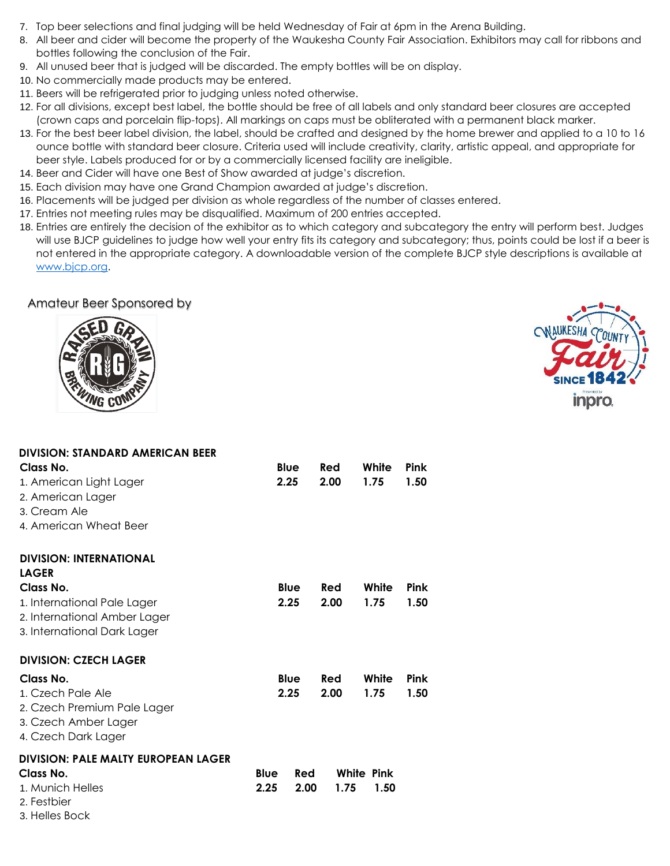- 7. Top beer selections and final judging will be held Wednesday of Fair at 6pm in the Arena Building.
- 8. All beer and cider will become the property of the Waukesha County Fair Association. Exhibitors may call for ribbons and bottles following the conclusion of the Fair.
- 9. All unused beer that is judged will be discarded. The empty bottles will be on display.
- 10. No commercially made products may be entered.
- 11. Beers will be refrigerated prior to judging unless noted otherwise.
- 12. For all divisions, except best label, the bottle should be free of all labels and only standard beer closures are accepted (crown caps and porcelain flip-tops). All markings on caps must be obliterated with a permanent black marker.
- 13. For the best beer label division, the label, should be crafted and designed by the home brewer and applied to a 10 to 16 ounce bottle with standard beer closure. Criteria used will include creativity, clarity, artistic appeal, and appropriate for beer style. Labels produced for or by a commercially licensed facility are ineligible.
- 14. Beer and Cider will have one Best of Show awarded at judge's discretion.
- 15. Each division may have one Grand Champion awarded at judge's discretion.
- 16. Placements will be judged per division as whole regardless of the number of classes entered.
- 17. Entries not meeting rules may be disqualified. Maximum of 200 entries accepted.
- 18. Entries are entirely the decision of the exhibitor as to which category and subcategory the entry will perform best. Judges will use BJCP guidelines to judge how well your entry fits its category and subcategory; thus, points could be lost if a beer is not entered in the appropriate category. A downloadable version of the complete BJCP style descriptions is available at [www.bjcp.org.](http://www.bjcp.org/)

## Amateur Beer Sponsored by





| <b>DIVISION: STANDARD AMERICAN BEER</b><br>Class No.<br>1. American Light Lager<br>2. American Lager<br>3. Cream Ale<br>4. American Wheat Beer            | <b>Blue</b><br>2.25                | Red<br>2.00 | White<br>1.75      | <b>Pink</b><br>1.50 |
|-----------------------------------------------------------------------------------------------------------------------------------------------------------|------------------------------------|-------------|--------------------|---------------------|
| <b>DIVISION: INTERNATIONAL</b><br><b>LAGER</b><br>Class No.<br>1. International Pale Lager<br>2. International Amber Lager<br>3. International Dark Lager | Blue<br>2.25                       | Red<br>2.00 | White<br>1.75      | <b>Pink</b><br>1.50 |
| <b>DIVISION: CZECH LAGER</b><br>Class No.<br>1. Czech Pale Ale<br>2. Czech Premium Pale Lager<br>3. Czech Amber Lager<br>4. Czech Dark Lager              | <b>Blue</b><br>2.25                | Red<br>2.00 | White<br>1.75      | <b>Pink</b><br>1.50 |
| <b>DIVISION: PALE MALTY EUROPEAN LAGER</b><br>Class No.<br>1. Munich Helles<br>2. Festbier<br>3. Helles Bock                                              | <b>Blue</b><br>Red<br>2.25<br>2.00 | 1.75        | White Pink<br>1.50 |                     |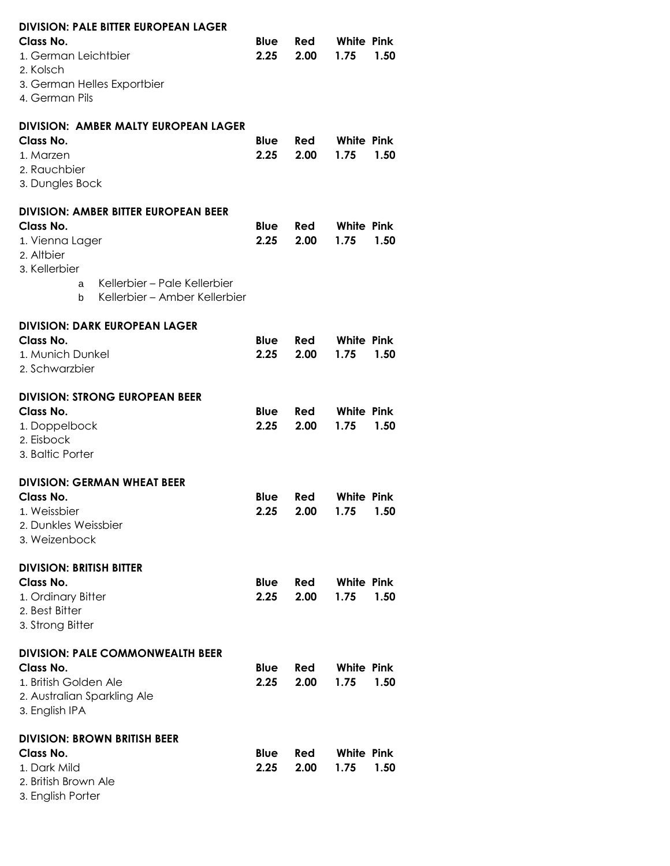| <b>DIVISION: PALE BITTER EUROPEAN LAGER</b><br>Class No.<br>1. German Leichtbier<br>2. Kolsch<br>3. German Helles Exportbier<br>4. German Pils                                        | <b>Blue</b><br>2.25 | Red<br>2.00 | <b>White Pink</b><br>1.75<br>1.50 |
|---------------------------------------------------------------------------------------------------------------------------------------------------------------------------------------|---------------------|-------------|-----------------------------------|
| DIVISION: AMBER MALTY EUROPEAN LAGER<br>Class No.<br>1. Marzen<br>2. Rauchbier<br>3. Dungles Bock                                                                                     | Blue<br>2.25        | Red<br>2.00 | White Pink<br>1.75<br>1.50        |
| <b>DIVISION: AMBER BITTER EUROPEAN BEER</b><br>Class No.<br>1. Vienna Lager<br>2. Altbier<br>3. Kellerbier<br>Kellerbier – Pale Kellerbier<br>a<br>Kellerbier – Amber Kellerbier<br>b | <b>Blue</b><br>2.25 | Red<br>2.00 | White Pink<br>1.75<br>1.50        |
| <b>DIVISION: DARK EUROPEAN LAGER</b><br>Class No.<br>1. Munich Dunkel<br>2. Schwarzbier                                                                                               | Blue<br>2.25        | Red<br>2.00 | White Pink<br>1.75<br>1.50        |
| <b>DIVISION: STRONG EUROPEAN BEER</b><br>Class No.<br>1. Doppelbock<br>2. Eisbock<br>3. Baltic Porter                                                                                 | Blue<br>2.25        | Red<br>2.00 | <b>White Pink</b><br>1.75<br>1.50 |
| <b>DIVISION: GERMAN WHEAT BEER</b><br>Class No.<br>1. Weissbier<br>2. Dunkles Weissbier<br>3. Weizenbock                                                                              | Blue<br>2.25        | Red<br>2.00 | <b>White Pink</b><br>1.75 1.50    |
| <b>DIVISION: BRITISH BITTER</b><br>Class No.<br>1. Ordinary Bitter<br>2. Best Bitter<br>3. Strong Bitter                                                                              | <b>Blue</b><br>2.25 | Red<br>2.00 | <b>White Pink</b><br>1.75<br>1.50 |
| <b>DIVISION: PALE COMMONWEALTH BEER</b><br>Class No.<br>1. British Golden Ale<br>2. Australian Sparkling Ale<br>3. English IPA                                                        | <b>Blue</b><br>2.25 | Red<br>2.00 | White Pink<br>1.75<br>1.50        |
| <b>DIVISION: BROWN BRITISH BEER</b><br>Class No.<br>1. Dark Mild<br>2. British Brown Ale<br>3. English Porter                                                                         | <b>Blue</b><br>2.25 | Red<br>2.00 | <b>White Pink</b><br>1.75<br>1.50 |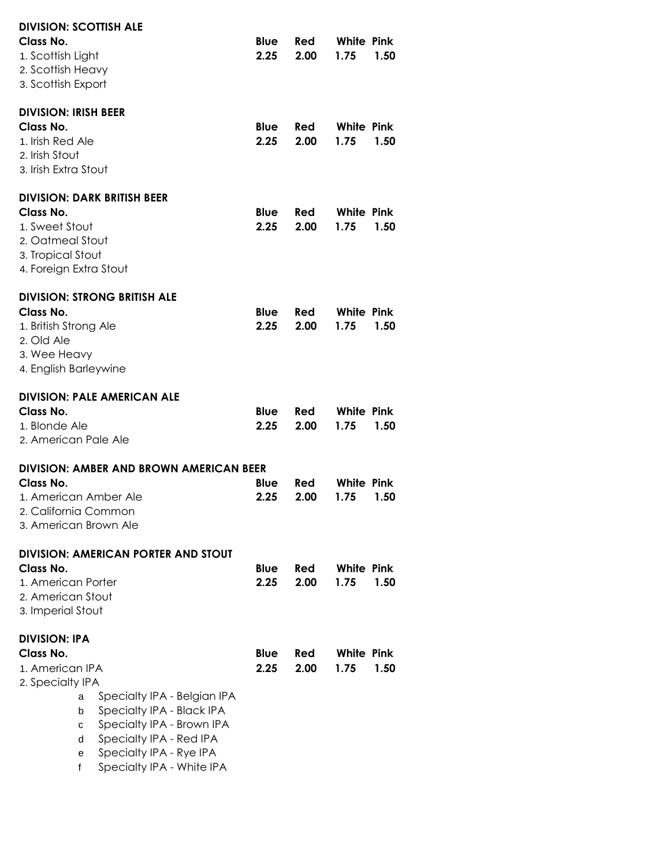| <b>DIVISION: SCOTTISH ALE</b><br>Class No.<br>1. Scottish Light<br>2. Scottish Heavy<br>3. Scottish Export                                                                                                                                                                                    | Blue<br>2.25        | Red<br>2.00        | White Pink<br>1.75        | 1.50 |
|-----------------------------------------------------------------------------------------------------------------------------------------------------------------------------------------------------------------------------------------------------------------------------------------------|---------------------|--------------------|---------------------------|------|
| <b>DIVISION: IRISH BEER</b><br>Class No.<br>1. Irish Red Ale<br>2. Irish Stout<br>3. Irish Extra Stout                                                                                                                                                                                        | <b>Blue</b><br>2.25 | Red<br>2.00        | White Pink<br>1.75        | 1.50 |
| <b>DIVISION: DARK BRITISH BEER</b><br>Class No.<br>1. Sweet Stout<br>2. Oatmeal Stout<br>3. Tropical Stout<br>4. Foreign Extra Stout                                                                                                                                                          | Blue<br>2.25        | Red<br>2.00        | White Pink<br>1.75        | 1.50 |
| <b>DIVISION: STRONG BRITISH ALE</b><br>Class No.<br>1. British Strong Ale<br>2. Old Ale<br>3. Wee Heavy<br>4. English Barleywine                                                                                                                                                              | <b>Blue</b><br>2.25 | Red<br>2.00        | White Pink<br>1.75        | 1.50 |
| <b>DIVISION: PALE AMERICAN ALE</b><br><b>Class No.</b><br>1. Blonde Ale<br>2. American Pale Ale                                                                                                                                                                                               | Blue<br>2.25        | Red<br>2.00        | White Pink<br>1.75        | 1.50 |
| <b>DIVISION: AMBER AND BROWN AMERICAN BEER</b><br>Class No.<br>1. American Amber Ale<br>2. California Common<br>3. American Brown Ale                                                                                                                                                         | Blue<br>2.25        | <b>Red</b><br>2.00 | <b>White Pink</b><br>1.75 | 1.50 |
| <b>DIVISION: AMERICAN PORTER AND STOUT</b><br>Class No.<br>1. American Porter<br>2. American Stout<br>3. Imperial Stout                                                                                                                                                                       | Blue<br>2.25        | Red<br>2.00        | White Pink<br>1.75        | 1.50 |
| <b>DIVISION: IPA</b><br>Class No.<br>1. American IPA<br>2. Specialty IPA<br>Specialty IPA - Belgian IPA<br>a<br>Specialty IPA - Black IPA<br>b<br>Specialty IPA - Brown IPA<br>с<br>Specialty IPA - Red IPA<br>d<br>Specialty IPA - Rye IPA<br>е<br>Specialty IPA - White IPA<br>$\mathsf{f}$ | Blue<br>2.25        | Red<br>2.00        | White Pink<br>1.75        | 1.50 |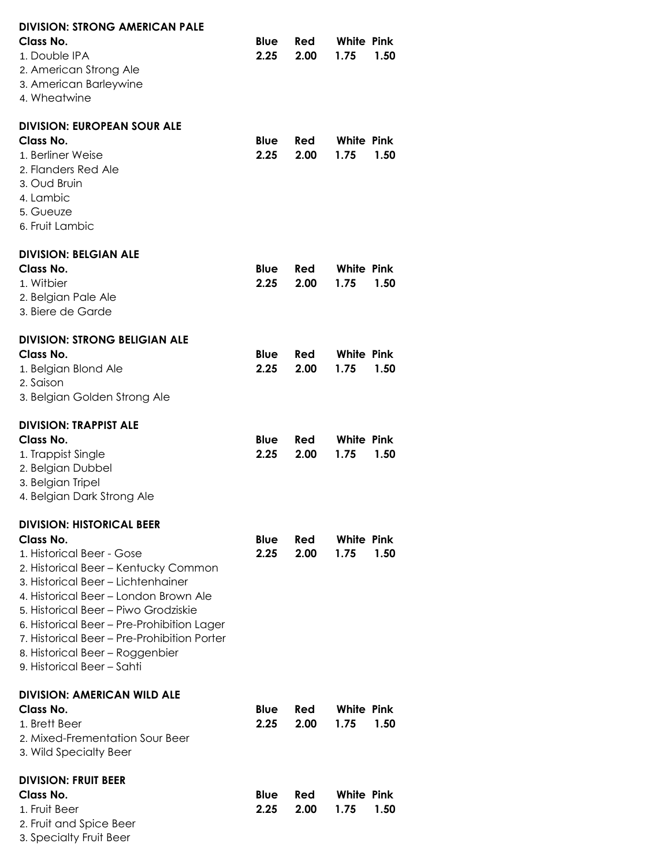| <b>DIVISION: STRONG AMERICAN PALE</b>                                      |             |             |                   |      |
|----------------------------------------------------------------------------|-------------|-------------|-------------------|------|
| Class No.                                                                  | <b>Blue</b> | Red         | <b>White Pink</b> |      |
| 1. Double IPA<br>2. American Strong Ale                                    | 2.25        | 2.00        | 1.75              | 1.50 |
| 3. American Barleywine                                                     |             |             |                   |      |
| 4. Wheatwine                                                               |             |             |                   |      |
| <b>DIVISION: EUROPEAN SOUR ALE</b>                                         |             |             |                   |      |
| Class No.                                                                  | <b>Blue</b> | <b>Red</b>  | <b>White Pink</b> |      |
| 1. Berliner Weise                                                          | 2.25        | 2.00        | 1.75              | 1.50 |
| 2. Flanders Red Ale                                                        |             |             |                   |      |
| 3. Oud Bruin                                                               |             |             |                   |      |
| 4. Lambic<br>5. Gueuze                                                     |             |             |                   |      |
| 6. Fruit Lambic                                                            |             |             |                   |      |
| <b>DIVISION: BELGIAN ALE</b>                                               |             |             |                   |      |
| Class No.                                                                  | Blue        | Red         | <b>White Pink</b> |      |
| 1. Witbier                                                                 | 2.25        | 2.00        | 1.75              | 1.50 |
| 2. Belgian Pale Ale                                                        |             |             |                   |      |
| 3. Biere de Garde                                                          |             |             |                   |      |
| <b>DIVISION: STRONG BELIGIAN ALE</b>                                       |             |             |                   |      |
| Class No.                                                                  | <b>Blue</b> | <b>Red</b>  | <b>White Pink</b> |      |
| 1. Belgian Blond Ale                                                       | 2.25        | 2.00        | 1.75              | 1.50 |
| 2. Saison<br>3. Belgian Golden Strong Ale                                  |             |             |                   |      |
|                                                                            |             |             |                   |      |
| <b>DIVISION: TRAPPIST ALE</b>                                              |             |             |                   |      |
| Class No.                                                                  | Blue        | Red         | White Pink        | 1.50 |
| 1. Trappist Single<br>2. Belgian Dubbel                                    | 2.25        | 2.00        | 1.75              |      |
| 3. Belgian Tripel                                                          |             |             |                   |      |
| 4. Belgian Dark Strong Ale                                                 |             |             |                   |      |
| <b>DIVISION: HISTORICAL BEER</b>                                           |             |             |                   |      |
| Class No.                                                                  | Blue        | Red         | White Pink        |      |
| 1. Historical Beer - Gose                                                  | 2.25        | 2.00        | 1.75              | 1.50 |
| 2. Historical Beer - Kentucky Common<br>3. Historical Beer - Lichtenhainer |             |             |                   |      |
| 4. Historical Beer – London Brown Ale                                      |             |             |                   |      |
| 5. Historical Beer – Piwo Grodziskie                                       |             |             |                   |      |
| 6. Historical Beer – Pre-Prohibition Lager                                 |             |             |                   |      |
| 7. Historical Beer - Pre-Prohibition Porter                                |             |             |                   |      |
| 8. Historical Beer - Roggenbier                                            |             |             |                   |      |
| 9. Historical Beer – Sahti                                                 |             |             |                   |      |
| <b>DIVISION: AMERICAN WILD ALE</b><br>Class No.                            | <b>Blue</b> |             | White Pink        |      |
| 1. Brett Beer                                                              | 2.25        | Red<br>2.00 | 1.75              | 1.50 |
| 2. Mixed-Frementation Sour Beer                                            |             |             |                   |      |
| 3. Wild Specialty Beer                                                     |             |             |                   |      |
| <b>DIVISION: FRUIT BEER</b>                                                |             |             |                   |      |
| Class No.                                                                  | <b>Blue</b> | Red         | <b>White Pink</b> |      |
| 1. Fruit Beer                                                              | 2.25        | 2.00        | 1.75              | 1.50 |
| 2. Fruit and Spice Beer<br>3. Specialty Fruit Beer                         |             |             |                   |      |
|                                                                            |             |             |                   |      |